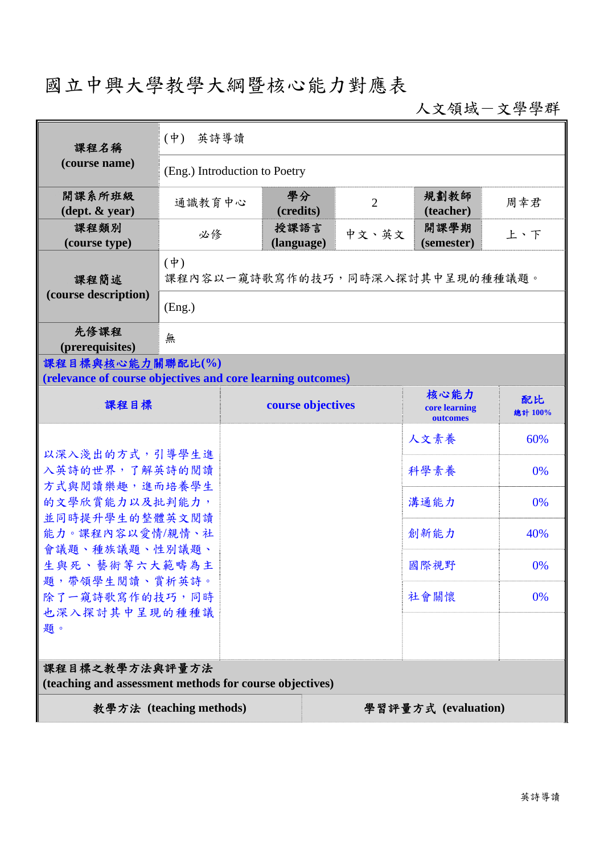## 國立中興大學教學大綱暨核心能力對應表

人文領域-文學學群

| 課程名稱                                                                            | (中) 英詩導讀                                    |                    |                |                                   |               |  |
|---------------------------------------------------------------------------------|---------------------------------------------|--------------------|----------------|-----------------------------------|---------------|--|
| (course name)                                                                   | (Eng.) Introduction to Poetry               |                    |                |                                   |               |  |
| 開課系所班級<br>$(\text{dept.} \& \text{ year})$                                      | 通識教育中心                                      | 學分<br>(credits)    | $\overline{2}$ | 規劃教師<br>(teacher)                 | 周幸君           |  |
| 課程類別<br>(course type)                                                           | 必修                                          | 授課語言<br>(language) | 中文、英文          | 開課學期<br>(semester)                | 上、下           |  |
| 課程簡述<br>(course description)                                                    | $(\phi)$<br>課程內容以一窺詩歌寫作的技巧,同時深入探討其中呈現的種種議題。 |                    |                |                                   |               |  |
|                                                                                 | (Eng.)                                      |                    |                |                                   |               |  |
| 先修課程<br>(prerequisites)                                                         | 無                                           |                    |                |                                   |               |  |
| 課程目標與核心能力關聯配比(%)<br>(relevance of course objectives and core learning outcomes) |                                             |                    |                |                                   |               |  |
| 課程目標                                                                            |                                             | course objectives  |                | 核心能力<br>core learning<br>outcomes | 配比<br>總計 100% |  |
|                                                                                 |                                             |                    | 人文素養           | 60%                               |               |  |
| 以深入淺出的方式,引導學生進<br>入英詩的世界,了解英詩的閱讀                                                |                                             |                    |                | 科學素養                              | 0%            |  |
| 方式與閱讀樂趣,進而培養學生<br>的文學欣賞能力以及批判能力,                                                |                                             |                    |                | 溝通能力                              | 0%            |  |
| 並同時提升學生的整體英文閱讀<br>能力。課程內容以愛情/親情、社                                               |                                             |                    |                | 創新能力                              | 40%           |  |
| 會議題、種族議題、性別議題、<br>生與死、藝術等六大範疇為主                                                 |                                             |                    |                | 國際視野                              | 0%            |  |
| 題,帶領學生閱讀、賞析英詩。<br>除了一窺詩歌寫作的技巧,同時                                                |                                             |                    | 社會關懷           | 0%                                |               |  |
| 也深入探討其中呈現的種種議<br>題。                                                             |                                             |                    |                |                                   |               |  |
|                                                                                 |                                             |                    |                |                                   |               |  |
| 課程目標之教學方法與評量方法<br>(teaching and assessment methods for course objectives)       |                                             |                    |                |                                   |               |  |
| 教學方法 (teaching methods)<br>學習評量方式 (evaluation)                                  |                                             |                    |                |                                   |               |  |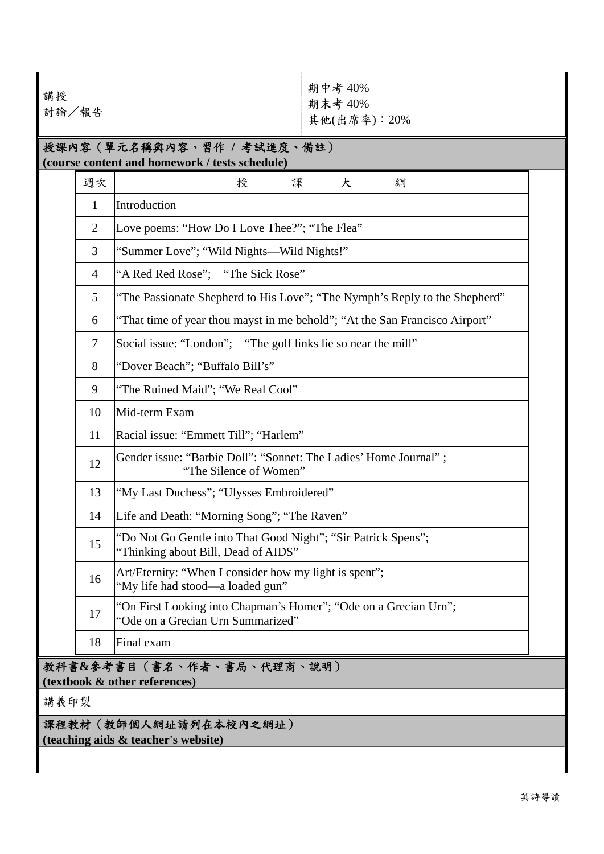| 講授<br>討論/報告                                                                  |                                                              |                                                                                                       | 期中考 40%<br>期末考 40%<br>其他(出席率): 20% |  |  |  |
|------------------------------------------------------------------------------|--------------------------------------------------------------|-------------------------------------------------------------------------------------------------------|------------------------------------|--|--|--|
| 授課內容(單元名稱與內容、習作 / 考試進度、備註)<br>(course content and homework / tests schedule) |                                                              |                                                                                                       |                                    |  |  |  |
|                                                                              | 週次                                                           | 課<br>授                                                                                                | 大<br>綱                             |  |  |  |
|                                                                              | $\mathbf{1}$                                                 | Introduction                                                                                          |                                    |  |  |  |
|                                                                              | $\overline{2}$                                               | Love poems: "How Do I Love Thee?"; "The Flea"                                                         |                                    |  |  |  |
|                                                                              | 3                                                            | "Summer Love"; "Wild Nights—Wild Nights!"                                                             |                                    |  |  |  |
|                                                                              | 4                                                            | "A Red Red Rose"; "The Sick Rose"                                                                     |                                    |  |  |  |
|                                                                              | 5                                                            | "The Passionate Shepherd to His Love"; "The Nymph's Reply to the Shepherd"                            |                                    |  |  |  |
|                                                                              | 6                                                            | "That time of year thou mayst in me behold"; "At the San Francisco Airport"                           |                                    |  |  |  |
|                                                                              | $\tau$                                                       | Social issue: "London"; "The golf links lie so near the mill"                                         |                                    |  |  |  |
|                                                                              | 8                                                            | "Dover Beach"; "Buffalo Bill's"                                                                       |                                    |  |  |  |
|                                                                              | 9                                                            | "The Ruined Maid"; "We Real Cool"                                                                     |                                    |  |  |  |
|                                                                              | 10                                                           | Mid-term Exam                                                                                         |                                    |  |  |  |
|                                                                              | 11                                                           | Racial issue: "Emmett Till"; "Harlem"                                                                 |                                    |  |  |  |
|                                                                              | 12                                                           | Gender issue: "Barbie Doll": "Sonnet: The Ladies' Home Journal";<br>"The Silence of Women"            |                                    |  |  |  |
|                                                                              | 13                                                           | "My Last Duchess"; "Ulysses Embroidered"                                                              |                                    |  |  |  |
|                                                                              | 14                                                           | Life and Death: "Morning Song"; "The Raven"                                                           |                                    |  |  |  |
|                                                                              | 15                                                           | "Do Not Go Gentle into That Good Night"; "Sir Patrick Spens";<br>"Thinking about Bill, Dead of AIDS"  |                                    |  |  |  |
|                                                                              | 16                                                           | Art/Eternity: "When I consider how my light is spent";<br>"My life had stood—a loaded gun"            |                                    |  |  |  |
|                                                                              | 17                                                           | "On First Looking into Chapman's Homer"; "Ode on a Grecian Urn";<br>"Ode on a Grecian Urn Summarized" |                                    |  |  |  |
|                                                                              | 18                                                           | Final exam                                                                                            |                                    |  |  |  |
| 教科書&参考書目(書名、作者、書局、代理商、說明)<br>(textbook & other references)                   |                                                              |                                                                                                       |                                    |  |  |  |
| 講義印製                                                                         |                                                              |                                                                                                       |                                    |  |  |  |
|                                                                              | 課程教材(教師個人網址請列在本校內之網址)<br>(teaching aids & teacher's website) |                                                                                                       |                                    |  |  |  |